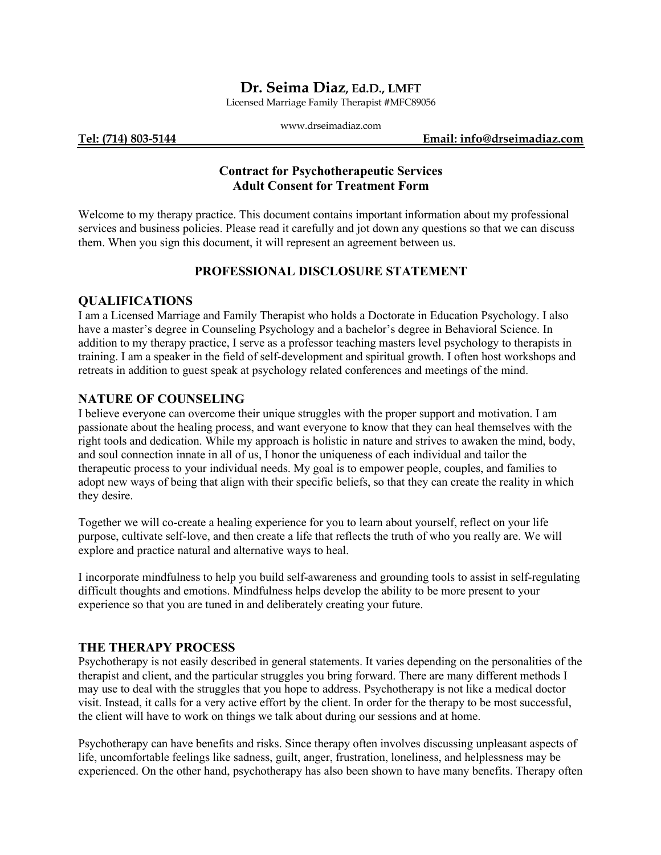## **Dr. Seima Diaz, Ed.D., LMFT**

Licensed Marriage Family Therapist #MFC89056

|                     | www.drseimadiaz.com |                             |
|---------------------|---------------------|-----------------------------|
| Tel: (714) 803-5144 |                     | Email: info@drseimadiaz.com |

## **Contract for Psychotherapeutic Services Adult Consent for Treatment Form**

Welcome to my therapy practice. This document contains important information about my professional services and business policies. Please read it carefully and jot down any questions so that we can discuss them. When you sign this document, it will represent an agreement between us.

### **PROFESSIONAL DISCLOSURE STATEMENT**

#### **QUALIFICATIONS**

I am a Licensed Marriage and Family Therapist who holds a Doctorate in Education Psychology. I also have a master's degree in Counseling Psychology and a bachelor's degree in Behavioral Science. In addition to my therapy practice, I serve as a professor teaching masters level psychology to therapists in training. I am a speaker in the field of self-development and spiritual growth. I often host workshops and retreats in addition to guest speak at psychology related conferences and meetings of the mind.

#### **NATURE OF COUNSELING**

I believe everyone can overcome their unique struggles with the proper support and motivation. I am passionate about the healing process, and want everyone to know that they can heal themselves with the right tools and dedication. While my approach is holistic in nature and strives to awaken the mind, body, and soul connection innate in all of us, I honor the uniqueness of each individual and tailor the therapeutic process to your individual needs. My goal is to empower people, couples, and families to adopt new ways of being that align with their specific beliefs, so that they can create the reality in which they desire.

Together we will co-create a healing experience for you to learn about yourself, reflect on your life purpose, cultivate self-love, and then create a life that reflects the truth of who you really are. We will explore and practice natural and alternative ways to heal.

I incorporate mindfulness to help you build self-awareness and grounding tools to assist in self-regulating difficult thoughts and emotions. Mindfulness helps develop the ability to be more present to your experience so that you are tuned in and deliberately creating your future.

#### **THE THERAPY PROCESS**

Psychotherapy is not easily described in general statements. It varies depending on the personalities of the therapist and client, and the particular struggles you bring forward. There are many different methods I may use to deal with the struggles that you hope to address. Psychotherapy is not like a medical doctor visit. Instead, it calls for a very active effort by the client. In order for the therapy to be most successful, the client will have to work on things we talk about during our sessions and at home.

Psychotherapy can have benefits and risks. Since therapy often involves discussing unpleasant aspects of life, uncomfortable feelings like sadness, guilt, anger, frustration, loneliness, and helplessness may be experienced. On the other hand, psychotherapy has also been shown to have many benefits. Therapy often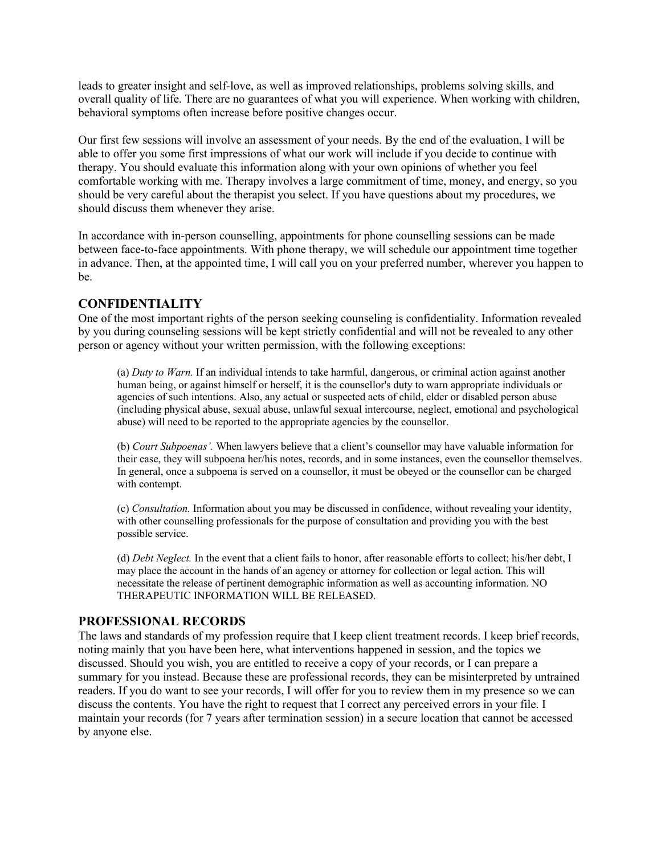leads to greater insight and self-love, as well as improved relationships, problems solving skills, and overall quality of life. There are no guarantees of what you will experience. When working with children, behavioral symptoms often increase before positive changes occur.

Our first few sessions will involve an assessment of your needs. By the end of the evaluation, I will be able to offer you some first impressions of what our work will include if you decide to continue with therapy. You should evaluate this information along with your own opinions of whether you feel comfortable working with me. Therapy involves a large commitment of time, money, and energy, so you should be very careful about the therapist you select. If you have questions about my procedures, we should discuss them whenever they arise.

In accordance with in-person counselling, appointments for phone counselling sessions can be made between face-to-face appointments. With phone therapy, we will schedule our appointment time together in advance. Then, at the appointed time, I will call you on your preferred number, wherever you happen to be.

#### **CONFIDENTIALITY**

One of the most important rights of the person seeking counseling is confidentiality. Information revealed by you during counseling sessions will be kept strictly confidential and will not be revealed to any other person or agency without your written permission, with the following exceptions:

(a) *Duty to Warn.* If an individual intends to take harmful, dangerous, or criminal action against another human being, or against himself or herself, it is the counsellor's duty to warn appropriate individuals or agencies of such intentions. Also, any actual or suspected acts of child, elder or disabled person abuse (including physical abuse, sexual abuse, unlawful sexual intercourse, neglect, emotional and psychological abuse) will need to be reported to the appropriate agencies by the counsellor.

(b) *Court Subpoenas'.* When lawyers believe that a client's counsellor may have valuable information for their case, they will subpoena her/his notes, records, and in some instances, even the counsellor themselves. In general, once a subpoena is served on a counsellor, it must be obeyed or the counsellor can be charged with contempt.

(c) *Consultation.* Information about you may be discussed in confidence, without revealing your identity, with other counselling professionals for the purpose of consultation and providing you with the best possible service.

(d) *Debt Neglect.* In the event that a client fails to honor, after reasonable efforts to collect; his/her debt, I may place the account in the hands of an agency or attorney for collection or legal action. This will necessitate the release of pertinent demographic information as well as accounting information. NO THERAPEUTIC INFORMATION WILL BE RELEASED.

#### **PROFESSIONAL RECORDS**

The laws and standards of my profession require that I keep client treatment records. I keep brief records, noting mainly that you have been here, what interventions happened in session, and the topics we discussed. Should you wish, you are entitled to receive a copy of your records, or I can prepare a summary for you instead. Because these are professional records, they can be misinterpreted by untrained readers. If you do want to see your records, I will offer for you to review them in my presence so we can discuss the contents. You have the right to request that I correct any perceived errors in your file. I maintain your records (for 7 years after termination session) in a secure location that cannot be accessed by anyone else.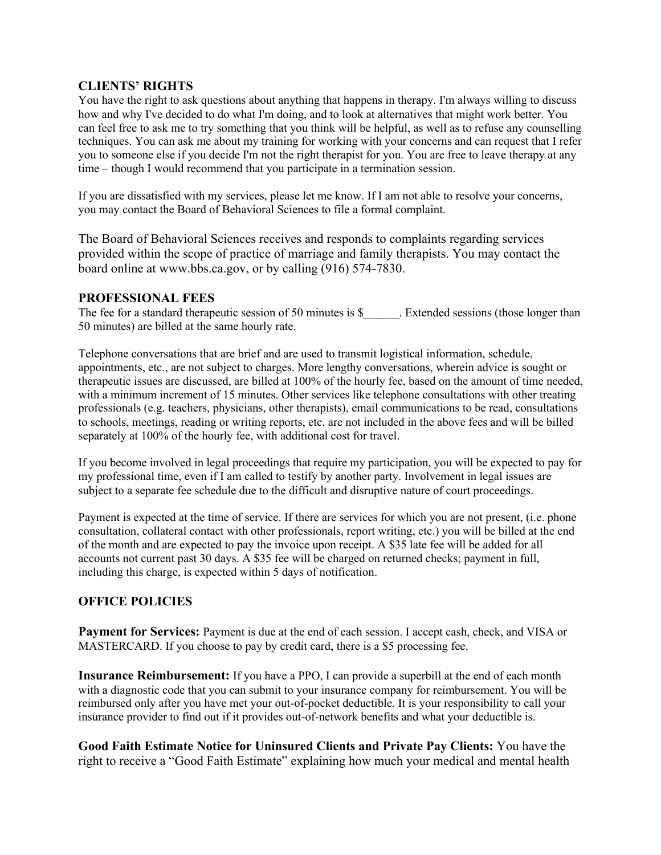### **CLIENTS' RIGHTS**

You have the right to ask questions about anything that happens in therapy. I'm always willing to discuss how and why I've decided to do what I'm doing, and to look at alternatives that might work better. You can feel free to ask me to try something that you think will be helpful, as well as to refuse any counselling techniques. You can ask me about my training for working with your concerns and can request that I refer you to someone else if you decide I'm not the right therapist for you. You are free to leave therapy at any time – though I would recommend that you participate in a termination session.

If you are dissatisfied with my services, please let me know. If I am not able to resolve your concerns, you may contact the Board of Behavioral Sciences to file a formal complaint.

The Board of Behavioral Sciences receives and responds to complaints regarding services provided within the scope of practice of marriage and family therapists. You may contact the board online at www.bbs.ca.gov, or by calling (916) 574-7830.

### **PROFESSIONAL FEES**

The fee for a standard therapeutic session of 50 minutes is \$ The Extended sessions (those longer than 50 minutes) are billed at the same hourly rate.

Telephone conversations that are brief and are used to transmit logistical information, schedule, appointments, etc., are not subject to charges. More lengthy conversations, wherein advice is sought or therapeutic issues are discussed, are billed at 100% of the hourly fee, based on the amount of time needed, with a minimum increment of 15 minutes. Other services like telephone consultations with other treating professionals (e.g. teachers, physicians, other therapists), email communications to be read, consultations to schools, meetings, reading or writing reports, etc. are not included in the above fees and will be billed separately at 100% of the hourly fee, with additional cost for travel.

If you become involved in legal proceedings that require my participation, you will be expected to pay for my professional time, even if I am called to testify by another party. Involvement in legal issues are subject to a separate fee schedule due to the difficult and disruptive nature of court proceedings.

Payment is expected at the time of service. If there are services for which you are not present, (i.e. phone consultation, collateral contact with other professionals, report writing, etc.) you will be billed at the end of the month and are expected to pay the invoice upon receipt. A \$35 late fee will be added for all accounts not current past 30 days. A \$35 fee will be charged on returned checks; payment in full, including this charge, is expected within 5 days of notification.

# **OFFICE POLICIES**

**Payment for Services:** Payment is due at the end of each session. I accept cash, check, and VISA or MASTERCARD. If you choose to pay by credit card, there is a \$5 processing fee.

**Insurance Reimbursement:** If you have a PPO, I can provide a superbill at the end of each month with a diagnostic code that you can submit to your insurance company for reimbursement. You will be reimbursed only after you have met your out-of-pocket deductible. It is your responsibility to call your insurance provider to find out if it provides out-of-network benefits and what your deductible is.

**Good Faith Estimate Notice for Uninsured Clients and Private Pay Clients:** You have the right to receive a "Good Faith Estimate" explaining how much your medical and mental health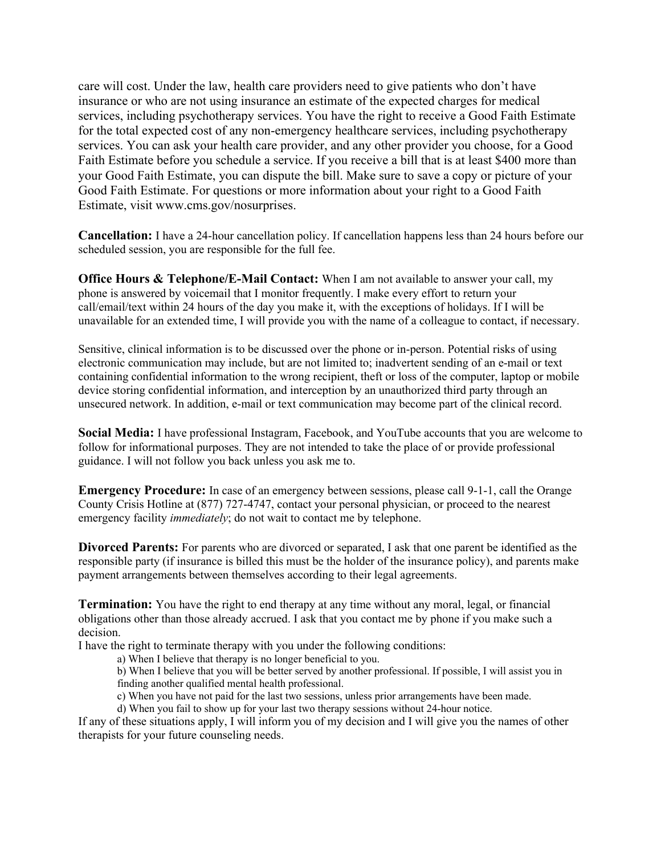care will cost. Under the law, health care providers need to give patients who don't have insurance or who are not using insurance an estimate of the expected charges for medical services, including psychotherapy services. You have the right to receive a Good Faith Estimate for the total expected cost of any non-emergency healthcare services, including psychotherapy services. You can ask your health care provider, and any other provider you choose, for a Good Faith Estimate before you schedule a service. If you receive a bill that is at least \$400 more than your Good Faith Estimate, you can dispute the bill. Make sure to save a copy or picture of your Good Faith Estimate. For questions or more information about your right to a Good Faith Estimate, visit www.cms.gov/nosurprises.

**Cancellation:** I have a 24-hour cancellation policy. If cancellation happens less than 24 hours before our scheduled session, you are responsible for the full fee.

**Office Hours & Telephone/E-Mail Contact:** When I am not available to answer your call, my phone is answered by voicemail that I monitor frequently. I make every effort to return your call/email/text within 24 hours of the day you make it, with the exceptions of holidays. If I will be unavailable for an extended time, I will provide you with the name of a colleague to contact, if necessary.

Sensitive, clinical information is to be discussed over the phone or in-person. Potential risks of using electronic communication may include, but are not limited to; inadvertent sending of an e-mail or text containing confidential information to the wrong recipient, theft or loss of the computer, laptop or mobile device storing confidential information, and interception by an unauthorized third party through an unsecured network. In addition, e-mail or text communication may become part of the clinical record.

**Social Media:** I have professional Instagram, Facebook, and YouTube accounts that you are welcome to follow for informational purposes. They are not intended to take the place of or provide professional guidance. I will not follow you back unless you ask me to.

**Emergency Procedure:** In case of an emergency between sessions, please call 9-1-1, call the Orange County Crisis Hotline at (877) 727-4747, contact your personal physician, or proceed to the nearest emergency facility *immediately*; do not wait to contact me by telephone.

**Divorced Parents:** For parents who are divorced or separated, I ask that one parent be identified as the responsible party (if insurance is billed this must be the holder of the insurance policy), and parents make payment arrangements between themselves according to their legal agreements.

**Termination:** You have the right to end therapy at any time without any moral, legal, or financial obligations other than those already accrued. I ask that you contact me by phone if you make such a decision.

I have the right to terminate therapy with you under the following conditions:

a) When I believe that therapy is no longer beneficial to you.

b) When I believe that you will be better served by another professional. If possible, I will assist you in finding another qualified mental health professional.

c) When you have not paid for the last two sessions, unless prior arrangements have been made.

d) When you fail to show up for your last two therapy sessions without 24-hour notice.

If any of these situations apply, I will inform you of my decision and I will give you the names of other therapists for your future counseling needs.